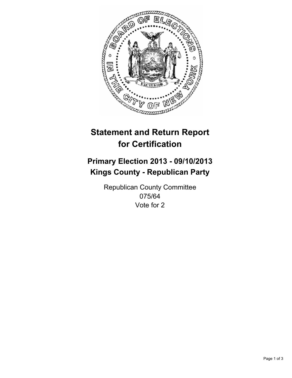

# **Statement and Return Report for Certification**

# **Primary Election 2013 - 09/10/2013 Kings County - Republican Party**

Republican County Committee 075/64 Vote for 2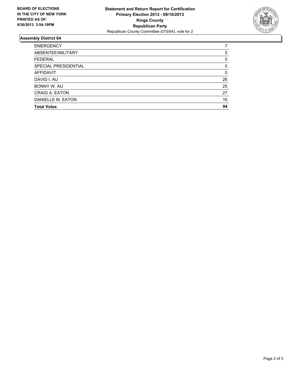

## **Assembly District 64**

| <b>EMERGENCY</b>     |    |
|----------------------|----|
| ABSENTEE/MILITARY    | 5  |
| <b>FEDERAL</b>       | 0  |
| SPECIAL PRESIDENTIAL | 0  |
| AFFIDAVIT            | 0  |
| DAVID I. AU          | 26 |
| BONNY W. AU          | 25 |
| CRAIG A. EATON       | 27 |
| DANIELLE M. EATON    | 16 |
| <b>Total Votes</b>   | 94 |